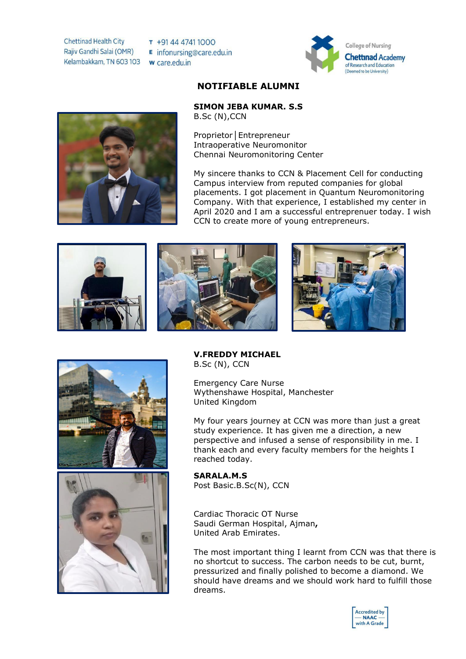T +91 44 4741 1000  $\epsilon$  infonursing@care.edu.in w care.edu.in



#### **NOTIFIABLE ALUMNI**

**SIMON JEBA KUMAR. S.S** B.Sc (N),CCN

Proprietor│Entrepreneur Intraoperative Neuromonitor Chennai Neuromonitoring Center

My sincere thanks to CCN & Placement Cell for conducting Campus interview from reputed companies for global placements. I got placement in Quantum Neuromonitoring Company. With that experience, I established my center in April 2020 and I am a successful entreprenuer today. I wish CCN to create more of young entrepreneurs.











**V.FREDDY MICHAEL** B.Sc (N), CCN

Emergency Care Nurse Wythenshawe Hospital, Manchester United Kingdom

My four years journey at CCN was more than just a great study experience. It has given me a direction, a new perspective and infused a sense of responsibility in me. I thank each and every faculty members for the heights I reached today.

**SARALA.M.S** Post Basic.B.Sc(N), CCN

Cardiac Thoracic OT Nurse Saudi German Hospital, Ajman**,** United Arab Emirates.

The most important thing I learnt from CCN was that there is no shortcut to success. The carbon needs to be cut, burnt, pressurized and finally polished to become a diamond. We should have dreams and we should work hard to fulfill those dreams.

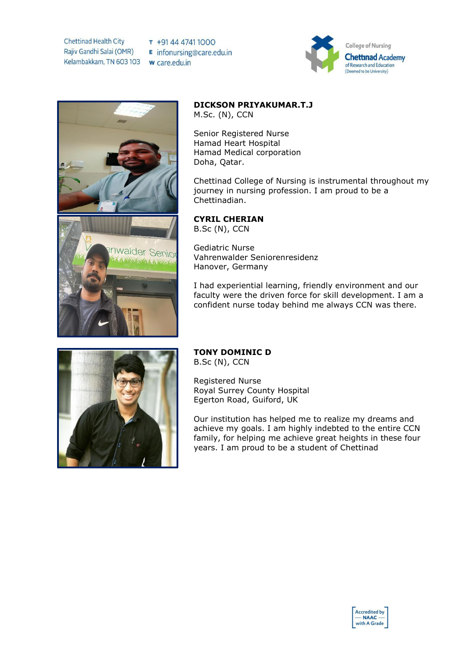**Chettinad Health City** Rajiv Gandhi Salai (OMR) Kelambakkam, TN 603 103 w care.edu.in

T +91 44 4741 1000  $\epsilon$  infonursing@care.edu.in





### **DICKSON PRIYAKUMAR.T.J**

M.Sc. (N), CCN

Senior Registered Nurse Hamad Heart Hospital Hamad Medical corporation Doha, Qatar.

Chettinad College of Nursing is instrumental throughout my journey in nursing profession. I am proud to be a Chettinadian.

**CYRIL CHERIAN**

B.Sc (N), CCN

Gediatric Nurse Vahrenwalder Seniorenresidenz Hanover, Germany

I had experiential learning, friendly environment and our faculty were the driven force for skill development. I am a confident nurse today behind me always CCN was there.



## **TONY DOMINIC D**

B.Sc (N), CCN

Registered Nurse Royal Surrey County Hospital Egerton Road, Guiford, UK

Our institution has helped me to realize my dreams and achieve my goals. I am highly indebted to the entire CCN family, for helping me achieve great heights in these four years. I am proud to be a student of Chettinad

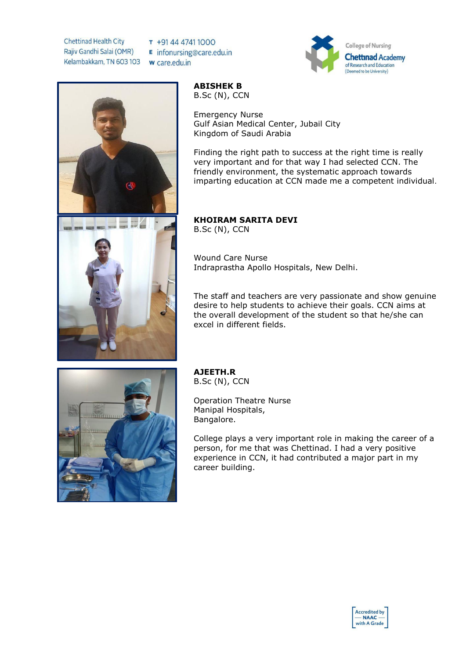T +91 44 4741 1000  $\epsilon$  infonursing@care.edu.in w care.edu.in





**ABISHEK B**

B.Sc (N), CCN

Emergency Nurse Gulf Asian Medical Center, Jubail City Kingdom of Saudi Arabia

Finding the right path to success at the right time is really very important and for that way I had selected CCN. The friendly environment, the systematic approach towards imparting education at CCN made me a competent individual.

## **KHOIRAM SARITA DEVI**

B.Sc (N), CCN

Wound Care Nurse Indraprastha Apollo Hospitals, New Delhi.

The staff and teachers are very passionate and show genuine desire to help students to achieve their goals. CCN aims at the overall development of the student so that he/she can excel in different fields.



**AJEETH.R** B.Sc (N), CCN

Operation Theatre Nurse Manipal Hospitals, Bangalore.

College plays a very important role in making the career of a person, for me that was Chettinad. I had a very positive experience in CCN, it had contributed a major part in my career building.

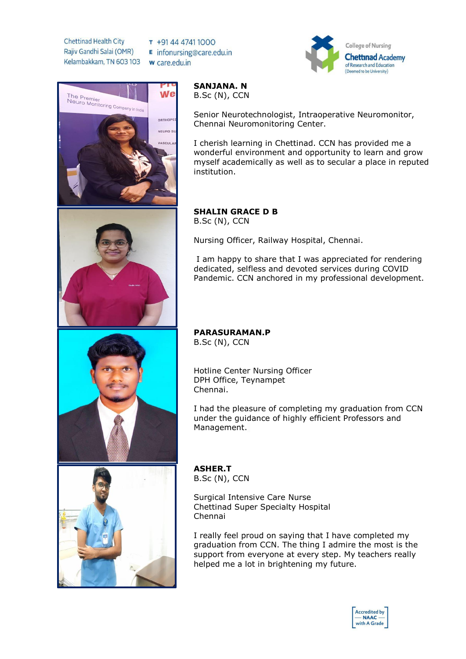T +91 44 4741 1000  $\epsilon$  infonursing@care.edu.in w care.edu.in





**SANJANA. N** B.Sc (N), CCN

Senior Neurotechnologist, Intraoperative Neuromonitor, Chennai Neuromonitoring Center.

I cherish learning in Chettinad. CCN has provided me a wonderful environment and opportunity to learn and grow myself academically as well as to secular a place in reputed institution.

# **SHALIN GRACE D B**

B.Sc (N), CCN

Nursing Officer, Railway Hospital, Chennai.

I am happy to share that I was appreciated for rendering dedicated, selfless and devoted services during COVID Pandemic. CCN anchored in my professional development.

**PARASURAMAN.P** B.Sc (N), CCN

Hotline Center Nursing Officer DPH Office, Teynampet Chennai.

I had the pleasure of completing my graduation from CCN under the guidance of highly efficient Professors and Management.

**ASHER.T** B.Sc (N), CCN

Surgical Intensive Care Nurse Chettinad Super Specialty Hospital Chennai

I really feel proud on saying that I have completed my graduation from CCN. The thing I admire the most is the support from everyone at every step. My teachers really helped me a lot in brightening my future.

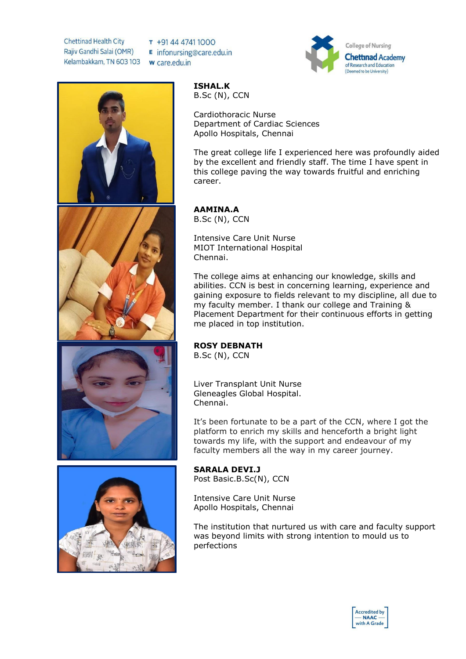T +91 44 4741 1000  $\epsilon$  infonursing@care.edu.in w care.edu.in





**ISHAL.K**

B.Sc (N), CCN

Cardiothoracic Nurse Department of Cardiac Sciences Apollo Hospitals, Chennai

The great college life I experienced here was profoundly aided by the excellent and friendly staff. The time I have spent in this college paving the way towards fruitful and enriching career.

**AAMINA.A** B.Sc (N), CCN

Intensive Care Unit Nurse MIOT International Hospital Chennai.

The college aims at enhancing our knowledge, skills and abilities. CCN is best in concerning learning, experience and gaining exposure to fields relevant to my discipline, all due to my faculty member. I thank our college and Training & Placement Department for their continuous efforts in getting me placed in top institution.

### **ROSY DEBNATH**

B.Sc (N), CCN

Liver Transplant Unit Nurse Gleneagles Global Hospital. Chennai.

It's been fortunate to be a part of the CCN, where I got the platform to enrich my skills and henceforth a bright light towards my life, with the support and endeavour of my faculty members all the way in my career journey.

**SARALA DEVI.J** Post Basic.B.Sc(N), CCN

Intensive Care Unit Nurse Apollo Hospitals, Chennai

The institution that nurtured us with care and faculty support was beyond limits with strong intention to mould us to perfections

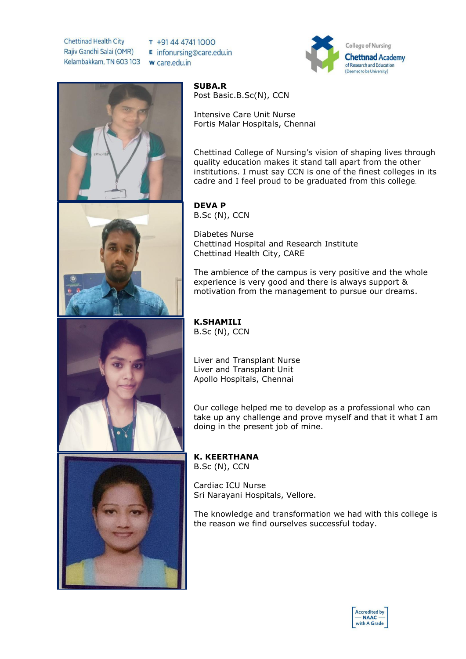T +91 44 4741 1000  $\epsilon$  infonursing@care.edu.in w care.edu.in





**SUBA.R**

Post Basic.B.Sc(N), CCN

Intensive Care Unit Nurse Fortis Malar Hospitals, Chennai

Chettinad College of Nursing's vision of shaping lives through quality education makes it stand tall apart from the other institutions. I must say CCN is one of the finest colleges in its cadre and I feel proud to be graduated from this college.

**DEVA P** B.Sc (N), CCN

Diabetes Nurse Chettinad Hospital and Research Institute Chettinad Health City, CARE

The ambience of the campus is very positive and the whole experience is very good and there is always support & motivation from the management to pursue our dreams.



Liver and Transplant Nurse Liver and Transplant Unit Apollo Hospitals, Chennai

Our college helped me to develop as a professional who can take up any challenge and prove myself and that it what I am doing in the present job of mine.



**K. KEERTHANA** B.Sc (N), CCN

Cardiac ICU Nurse Sri Narayani Hospitals, Vellore.

The knowledge and transformation we had with this college is the reason we find ourselves successful today.